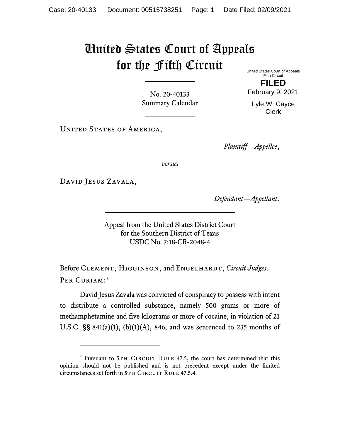## United States Court of Appeals for the Fifth Circuit United States Court of Appeals

No. 20-40133 Summary Calendar

UNITED STATES OF AMERICA,

Fifth Circuit **FILED**

February 9, 2021

Lyle W. Cayce Clerk

*Plaintiff—Appellee*,

*versus*

David Jesus Zavala,

*Defendant—Appellant*.

Appeal from the United States District Court for the Southern District of Texas USDC No. 7:18-CR-2048-4

Before CLEMENT, HIGGINSON, and ENGELHARDT, *Circuit Judges*. Per Curiam:[\\*](#page-0-0)

David Jesus Zavala was convicted of conspiracy to possess with intent to distribute a controlled substance, namely 500 grams or more of methamphetamine and five kilograms or more of cocaine, in violation of 21 U.S.C.  $\S$ § 841(a)(1), (b)(1)(A), 846, and was sentenced to 235 months of

<span id="page-0-0"></span><sup>\*</sup> Pursuant to 5TH CIRCUIT RULE 47.5, the court has determined that this opinion should not be published and is not precedent except under the limited circumstances set forth in 5TH CIRCUIT RULE 47.5.4.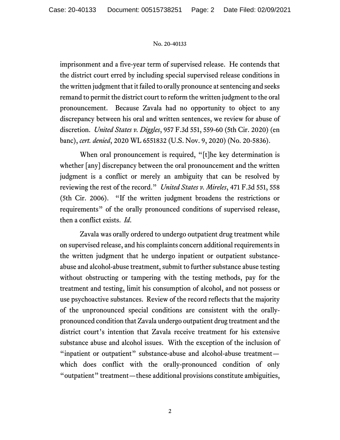## No. 20-40133

imprisonment and a five-year term of supervised release. He contends that the district court erred by including special supervised release conditions in the written judgment that it failed to orally pronounce at sentencing and seeks remand to permit the district court to reform the written judgment to the oral pronouncement. Because Zavala had no opportunity to object to any discrepancy between his oral and written sentences, we review for abuse of discretion. *United States v. Diggles*, 957 F.3d 551, 559-60 (5th Cir. 2020) (en banc), *cert. denied*, 2020 WL 6551832 (U.S. Nov. 9, 2020) (No. 20-5836).

When oral pronouncement is required, "[t]he key determination is whether [any] discrepancy between the oral pronouncement and the written judgment is a conflict or merely an ambiguity that can be resolved by reviewing the rest of the record." *United States v. Mireles*, 471 F.3d 551, 558 (5th Cir. 2006). "If the written judgment broadens the restrictions or requirements" of the orally pronounced conditions of supervised release, then a conflict exists. *Id*.

Zavala was orally ordered to undergo outpatient drug treatment while on supervised release, and his complaints concern additional requirements in the written judgment that he undergo inpatient or outpatient substanceabuse and alcohol-abuse treatment, submit to further substance abuse testing without obstructing or tampering with the testing methods, pay for the treatment and testing, limit his consumption of alcohol, and not possess or use psychoactive substances. Review of the record reflects that the majority of the unpronounced special conditions are consistent with the orallypronounced condition that Zavala undergo outpatient drug treatment and the district court's intention that Zavala receive treatment for his extensive substance abuse and alcohol issues. With the exception of the inclusion of "inpatient or outpatient" substance-abuse and alcohol-abuse treatment which does conflict with the orally-pronounced condition of only "outpatient" treatment—these additional provisions constitute ambiguities,